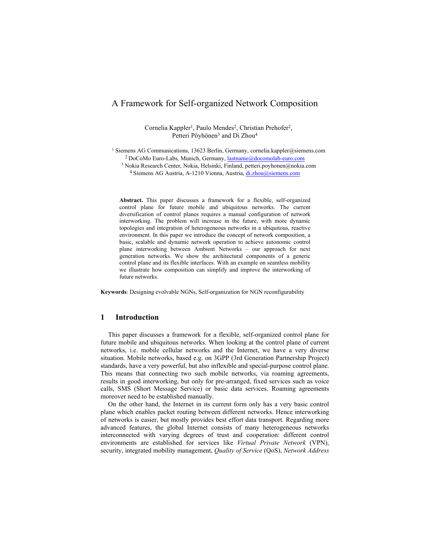# A Framework for Self-organized Network Composition

Cornelia Kappler<sup>1</sup>, Paulo Mendes<sup>2</sup>, Christian Prehofer<sup>2</sup>, Petteri Pöyhönen<sup>3</sup> and Di Zhou<sup>4</sup>

<sup>1</sup> Siemens AG Communications, 13623 Berlin, Germany, cornelia.kappler@siemens.com <sup>2</sup> DoCoMo Euro-Labs, Munich, Germany, lastname@docomolab-euro.com

3 Nokia Research Center, Nokia, Helsinki, Finland, petteri.poyhonen@nokia.com 4 Siemens AG Austria, A-1210 Vienna, Austria, di.zhou@siemens.com

**Abstract.** This paper discusses a framework for a flexible, self-organized control plane for future mobile and ubiquitous networks. The current diversification of control planes requires a manual configuration of network interworking. The problem will increase in the future, with more dynamic topologies and integration of heterogeneous networks in a ubiquitous, reactive environment. In this paper we introduce the concept of network composition, a basic, scalable and dynamic network operation to achieve autonomic control plane interworking between Ambient Networks – our approach for next generation networks. We show the architectural components of a generic control plane and its flexible interfaces. With an example on seamless mobility we illustrate how composition can simplify and improve the interworking of future networks.

**Keywords**: Designing evolvable NGNs, Self-organization for NGN reconfigurability

## **1 Introduction**

This paper discusses a framework for a flexible, self-organized control plane for future mobile and ubiquitous networks. When looking at the control plane of current networks, i.e. mobile cellular networks and the Internet, we have a very diverse situation. Mobile networks, based e.g. on 3GPP (3rd Generation Partnership Project) standards, have a very powerful, but also inflexible and special-purpose control plane. This means that connecting two such mobile networks, via roaming agreements, results in good interworking, but only for pre-arranged, fixed services such as voice calls, SMS (Short Message Service) or basic data services. Roaming agreements moreover need to be established manually.

On the other hand, the Internet in its current form only has a very basic control plane which enables packet routing between different networks. Hence interworking of networks is easier, but mostly provides best effort data transport. Regarding more advanced features, the global Internet consists of many heterogeneous networks interconnected with varying degrees of trust and cooperation: different control environments are established for services like *Virtual Private Network* (VPN), security, integrated mobility management, *Quality of Service* (QoS), *Network Address*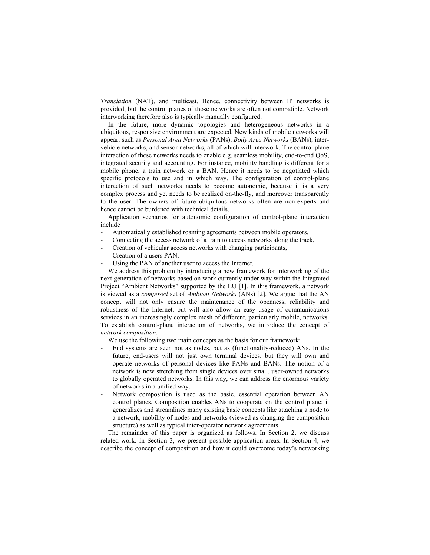*Translation* (NAT), and multicast. Hence, connectivity between IP networks is provided, but the control planes of those networks are often not compatible. Network interworking therefore also is typically manually configured.

In the future, more dynamic topologies and heterogeneous networks in a ubiquitous, responsive environment are expected. New kinds of mobile networks will appear, such as *Personal Area Networks* (PANs), *Body Area Networks* (BANs), intervehicle networks, and sensor networks, all of which will interwork. The control plane interaction of these networks needs to enable e.g. seamless mobility, end-to-end QoS, integrated security and accounting. For instance, mobility handling is different for a mobile phone, a train network or a BAN. Hence it needs to be negotiated which specific protocols to use and in which way. The configuration of control-plane interaction of such networks needs to become autonomic, because it is a very complex process and yet needs to be realized on-the-fly, and moreover transparently to the user. The owners of future ubiquitous networks often are non-experts and hence cannot be burdened with technical details.

Application scenarios for autonomic configuration of control-plane interaction include

- Automatically established roaming agreements between mobile operators,
- Connecting the access network of a train to access networks along the track,
- Creation of vehicular access networks with changing participants,
- Creation of a users PAN,
- Using the PAN of another user to access the Internet.

We address this problem by introducing a new framework for interworking of the next generation of networks based on work currently under way within the Integrated Project "Ambient Networks" supported by the EU [1]. In this framework, a network is viewed as a *composed* set of *Ambient Networks* (ANs) [2]. We argue that the AN concept will not only ensure the maintenance of the openness, reliability and robustness of the Internet, but will also allow an easy usage of communications services in an increasingly complex mesh of different, particularly mobile, networks. To establish control-plane interaction of networks, we introduce the concept of *network composition*.

We use the following two main concepts as the basis for our framework:

- End systems are seen not as nodes, but as (functionality-reduced) ANs. In the future, end-users will not just own terminal devices, but they will own and operate networks of personal devices like PANs and BANs. The notion of a network is now stretching from single devices over small, user-owned networks to globally operated networks. In this way, we can address the enormous variety of networks in a unified way.
- Network composition is used as the basic, essential operation between AN control planes. Composition enables ANs to cooperate on the control plane; it generalizes and streamlines many existing basic concepts like attaching a node to a network, mobility of nodes and networks (viewed as changing the composition structure) as well as typical inter-operator network agreements.

The remainder of this paper is organized as follows. In Section 2, we discuss related work. In Section 3, we present possible application areas. In Section 4, we describe the concept of composition and how it could overcome today's networking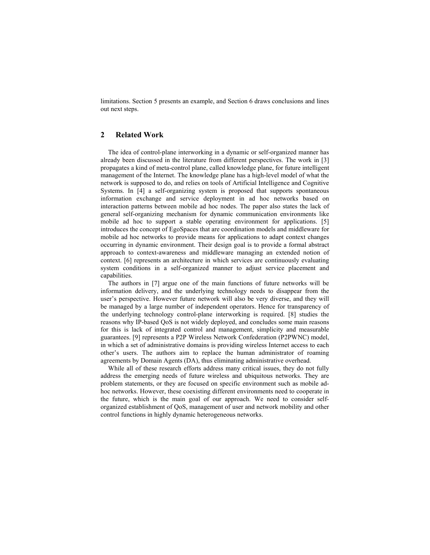limitations. Section 5 presents an example, and Section 6 draws conclusions and lines out next steps.

# **2 Related Work**

The idea of control-plane interworking in a dynamic or self-organized manner has already been discussed in the literature from different perspectives. The work in [3] propagates a kind of meta-control plane, called knowledge plane, for future intelligent management of the Internet. The knowledge plane has a high-level model of what the network is supposed to do, and relies on tools of Artificial Intelligence and Cognitive Systems. In [4] a self-organizing system is proposed that supports spontaneous information exchange and service deployment in ad hoc networks based on interaction patterns between mobile ad hoc nodes. The paper also states the lack of general self-organizing mechanism for dynamic communication environments like mobile ad hoc to support a stable operating environment for applications. [5] introduces the concept of EgoSpaces that are coordination models and middleware for mobile ad hoc networks to provide means for applications to adapt context changes occurring in dynamic environment. Their design goal is to provide a formal abstract approach to context-awareness and middleware managing an extended notion of context. [6] represents an architecture in which services are continuously evaluating system conditions in a self-organized manner to adjust service placement and capabilities.

The authors in [7] argue one of the main functions of future networks will be information delivery, and the underlying technology needs to disappear from the user's perspective. However future network will also be very diverse, and they will be managed by a large number of independent operators. Hence for transparency of the underlying technology control-plane interworking is required. [8] studies the reasons why IP-based QoS is not widely deployed, and concludes some main reasons for this is lack of integrated control and management, simplicity and measurable guarantees. [9] represents a P2P Wireless Network Confederation (P2PWNC) model, in which a set of administrative domains is providing wireless Internet access to each other's users. The authors aim to replace the human administrator of roaming agreements by Domain Agents (DA), thus eliminating administrative overhead.

While all of these research efforts address many critical issues, they do not fully address the emerging needs of future wireless and ubiquitous networks. They are problem statements, or they are focused on specific environment such as mobile adhoc networks. However, these coexisting different environments need to cooperate in the future, which is the main goal of our approach. We need to consider selforganized establishment of QoS, management of user and network mobility and other control functions in highly dynamic heterogeneous networks.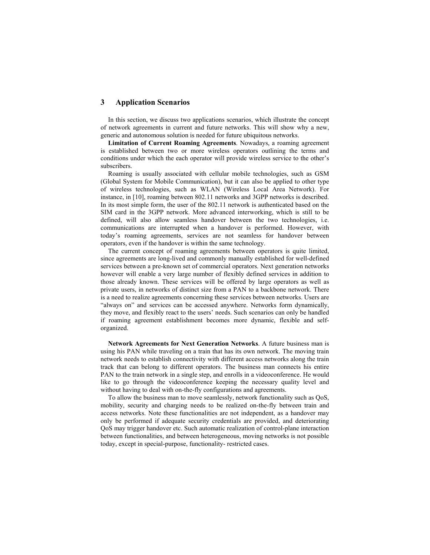## **3 Application Scenarios**

In this section, we discuss two applications scenarios, which illustrate the concept of network agreements in current and future networks. This will show why a new, generic and autonomous solution is needed for future ubiquitous networks.

**Limitation of Current Roaming Agreements**. Nowadays, a roaming agreement is established between two or more wireless operators outlining the terms and conditions under which the each operator will provide wireless service to the other's subscribers.

Roaming is usually associated with cellular mobile technologies, such as GSM (Global System for Mobile Communication), but it can also be applied to other type of wireless technologies, such as WLAN (Wireless Local Area Network). For instance, in [10], roaming between 802.11 networks and 3GPP networks is described. In its most simple form, the user of the 802.11 network is authenticated based on the SIM card in the 3GPP network. More advanced interworking, which is still to be defined, will also allow seamless handover between the two technologies, i.e. communications are interrupted when a handover is performed. However, with today's roaming agreements, services are not seamless for handover between operators, even if the handover is within the same technology.

The current concept of roaming agreements between operators is quite limited, since agreements are long-lived and commonly manually established for well-defined services between a pre-known set of commercial operators. Next generation networks however will enable a very large number of flexibly defined services in addition to those already known. These services will be offered by large operators as well as private users, in networks of distinct size from a PAN to a backbone network. There is a need to realize agreements concerning these services between networks. Users are "always on" and services can be accessed anywhere. Networks form dynamically, they move, and flexibly react to the users' needs. Such scenarios can only be handled if roaming agreement establishment becomes more dynamic, flexible and selforganized.

**Network Agreements for Next Generation Networks**. A future business man is using his PAN while traveling on a train that has its own network. The moving train network needs to establish connectivity with different access networks along the train track that can belong to different operators. The business man connects his entire PAN to the train network in a single step, and enrolls in a videoconference. He would like to go through the videoconference keeping the necessary quality level and without having to deal with on-the-fly configurations and agreements.

To allow the business man to move seamlessly, network functionality such as QoS, mobility, security and charging needs to be realized on-the-fly between train and access networks. Note these functionalities are not independent, as a handover may only be performed if adequate security credentials are provided, and deteriorating QoS may trigger handover etc. Such automatic realization of control-plane interaction between functionalities, and between heterogeneous, moving networks is not possible today, except in special-purpose, functionality- restricted cases.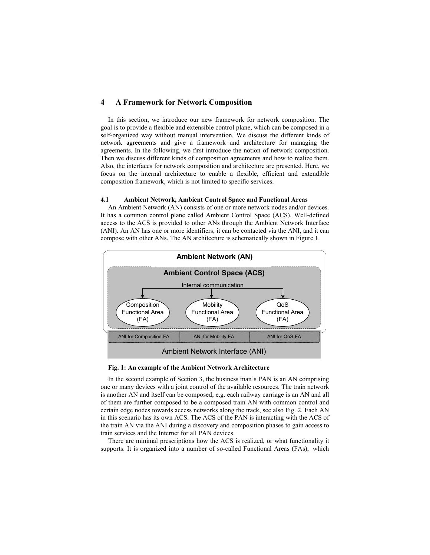## **4 A Framework for Network Composition**

In this section, we introduce our new framework for network composition. The goal is to provide a flexible and extensible control plane, which can be composed in a self-organized way without manual intervention. We discuss the different kinds of network agreements and give a framework and architecture for managing the agreements. In the following, we first introduce the notion of network composition. Then we discuss different kinds of composition agreements and how to realize them. Also, the interfaces for network composition and architecture are presented. Here, we focus on the internal architecture to enable a flexible, efficient and extendible composition framework, which is not limited to specific services.

#### **4.1 Ambient Network, Ambient Control Space and Functional Areas**

An Ambient Network (AN) consists of one or more network nodes and/or devices. It has a common control plane called Ambient Control Space (ACS). Well-defined access to the ACS is provided to other ANs through the Ambient Network Interface (ANI). An AN has one or more identifiers, it can be contacted via the ANI, and it can compose with other ANs. The AN architecture is schematically shown in Figure 1.



### **Fig. 1: An example of the Ambient Network Architecture**

In the second example of Section 3, the business man's PAN is an AN comprising one or many devices with a joint control of the available resources. The train network is another AN and itself can be composed; e.g. each railway carriage is an AN and all of them are further composed to be a composed train AN with common control and certain edge nodes towards access networks along the track, see also Fig. 2. Each AN in this scenario has its own ACS. The ACS of the PAN is interacting with the ACS of the train AN via the ANI during a discovery and composition phases to gain access to train services and the Internet for all PAN devices.

There are minimal prescriptions how the ACS is realized, or what functionality it supports. It is organized into a number of so-called Functional Areas (FAs), which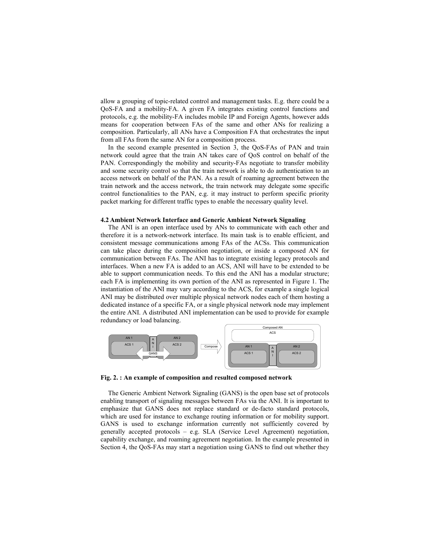allow a grouping of topic-related control and management tasks. E.g. there could be a QoS-FA and a mobility-FA. A given FA integrates existing control functions and protocols, e.g. the mobility-FA includes mobile IP and Foreign Agents, however adds means for cooperation between FAs of the same and other ANs for realizing a composition. Particularly, all ANs have a Composition FA that orchestrates the input from all FAs from the same AN for a composition process.

In the second example presented in Section 3, the QoS-FAs of PAN and train network could agree that the train AN takes care of QoS control on behalf of the PAN. Correspondingly the mobility and security-FAs negotiate to transfer mobility and some security control so that the train network is able to do authentication to an access network on behalf of the PAN. As a result of roaming agreement between the train network and the access network, the train network may delegate some specific control functionalities to the PAN, e.g. it may instruct to perform specific priority packet marking for different traffic types to enable the necessary quality level.

#### **4.2 Ambient Network Interface and Generic Ambient Network Signaling**

The ANI is an open interface used by ANs to communicate with each other and therefore it is a network-network interface. Its main task is to enable efficient, and consistent message communications among FAs of the ACSs. This communication can take place during the composition negotiation, or inside a composed AN for communication between FAs. The ANI has to integrate existing legacy protocols and interfaces. When a new FA is added to an ACS, ANI will have to be extended to be able to support communication needs. To this end the ANI has a modular structure; each FA is implementing its own portion of the ANI as represented in Figure 1. The instantiation of the ANI may vary according to the ACS, for example a single logical ANI may be distributed over multiple physical network nodes each of them hosting a dedicated instance of a specific FA, or a single physical network node may implement the entire ANI. A distributed ANI implementation can be used to provide for example redundancy or load balancing.



**Fig. 2. : An example of composition and resulted composed network** 

The Generic Ambient Network Signaling (GANS) is the open base set of protocols enabling transport of signaling messages between FAs via the ANI. It is important to emphasize that GANS does not replace standard or de-facto standard protocols, which are used for instance to exchange routing information or for mobility support. GANS is used to exchange information currently not sufficiently covered by generally accepted protocols – e.g. SLA (Service Level Agreement) negotiation, capability exchange, and roaming agreement negotiation. In the example presented in Section 4, the QoS-FAs may start a negotiation using GANS to find out whether they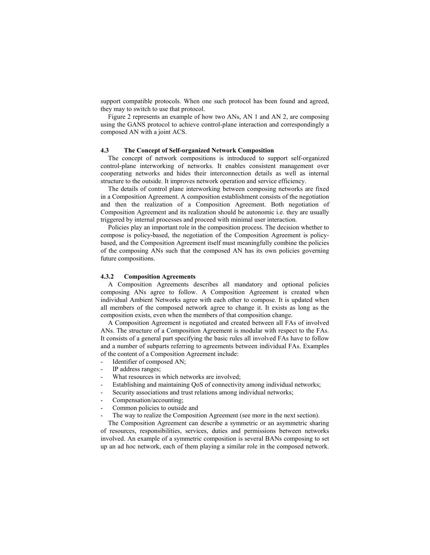support compatible protocols. When one such protocol has been found and agreed, they may to switch to use that protocol.

Figure 2 represents an example of how two ANs, AN 1 and AN 2, are composing using the GANS protocol to achieve control-plane interaction and correspondingly a composed AN with a joint ACS.

### **4.3 The Concept of Self-organized Network Composition**

The concept of network compositions is introduced to support self-organized control-plane interworking of networks. It enables consistent management over cooperating networks and hides their interconnection details as well as internal structure to the outside. It improves network operation and service efficiency.

The details of control plane interworking between composing networks are fixed in a Composition Agreement. A composition establishment consists of the negotiation and then the realization of a Composition Agreement. Both negotiation of Composition Agreement and its realization should be autonomic i.e. they are usually triggered by internal processes and proceed with minimal user interaction.

Policies play an important role in the composition process. The decision whether to compose is policy-based, the negotiation of the Composition Agreement is policybased, and the Composition Agreement itself must meaningfully combine the policies of the composing ANs such that the composed AN has its own policies governing future compositions.

### **4.3.2 Composition Agreements**

A Composition Agreements describes all mandatory and optional policies composing ANs agree to follow. A Composition Agreement is created when individual Ambient Networks agree with each other to compose. It is updated when all members of the composed network agree to change it. It exists as long as the composition exists, even when the members of that composition change.

A Composition Agreement is negotiated and created between all FAs of involved ANs. The structure of a Composition Agreement is modular with respect to the FAs. It consists of a general part specifying the basic rules all involved FAs have to follow and a number of subparts referring to agreements between individual FAs. Examples of the content of a Composition Agreement include:

- Identifier of composed AN;
- IP address ranges;
- What resources in which networks are involved;
- Establishing and maintaining QoS of connectivity among individual networks;
- Security associations and trust relations among individual networks;
- Compensation/accounting;
- Common policies to outside and
- The way to realize the Composition Agreement (see more in the next section).

The Composition Agreement can describe a symmetric or an asymmetric sharing of resources, responsibilities, services, duties and permissions between networks involved. An example of a symmetric composition is several BANs composing to set up an ad hoc network, each of them playing a similar role in the composed network.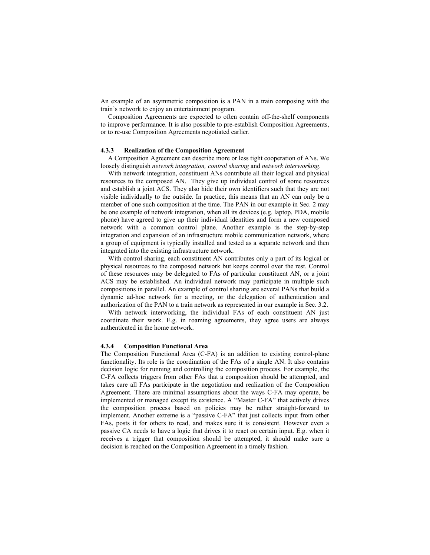An example of an asymmetric composition is a PAN in a train composing with the train's network to enjoy an entertainment program.

Composition Agreements are expected to often contain off-the-shelf components to improve performance. It is also possible to pre-establish Composition Agreements, or to re-use Composition Agreements negotiated earlier.

### **4.3.3 Realization of the Composition Agreement**

A Composition Agreement can describe more or less tight cooperation of ANs. We loosely distinguish *network integration, control sharing* and *network interworking*.

With network integration, constituent ANs contribute all their logical and physical resources to the composed AN. They give up individual control of some resources and establish a joint ACS. They also hide their own identifiers such that they are not visible individually to the outside. In practice, this means that an AN can only be a member of one such composition at the time. The PAN in our example in Sec. 2 may be one example of network integration, when all its devices (e.g. laptop, PDA, mobile phone) have agreed to give up their individual identities and form a new composed network with a common control plane. Another example is the step-by-step integration and expansion of an infrastructure mobile communication network, where a group of equipment is typically installed and tested as a separate network and then integrated into the existing infrastructure network.

With control sharing, each constituent AN contributes only a part of its logical or physical resources to the composed network but keeps control over the rest. Control of these resources may be delegated to FAs of particular constituent AN, or a joint ACS may be established. An individual network may participate in multiple such compositions in parallel. An example of control sharing are several PANs that build a dynamic ad-hoc network for a meeting, or the delegation of authentication and authorization of the PAN to a train network as represented in our example in Sec. 3.2.

With network interworking, the individual FAs of each constituent AN just coordinate their work. E.g. in roaming agreements, they agree users are always authenticated in the home network.

#### **4.3.4 Composition Functional Area**

The Composition Functional Area (C-FA) is an addition to existing control-plane functionality. Its role is the coordination of the FAs of a single AN. It also contains decision logic for running and controlling the composition process. For example, the C-FA collects triggers from other FAs that a composition should be attempted, and takes care all FAs participate in the negotiation and realization of the Composition Agreement. There are minimal assumptions about the ways C-FA may operate, be implemented or managed except its existence. A "Master C-FA" that actively drives the composition process based on policies may be rather straight-forward to implement. Another extreme is a "passive C-FA" that just collects input from other FAs, posts it for others to read, and makes sure it is consistent. However even a passive CA needs to have a logic that drives it to react on certain input. E.g. when it receives a trigger that composition should be attempted, it should make sure a decision is reached on the Composition Agreement in a timely fashion.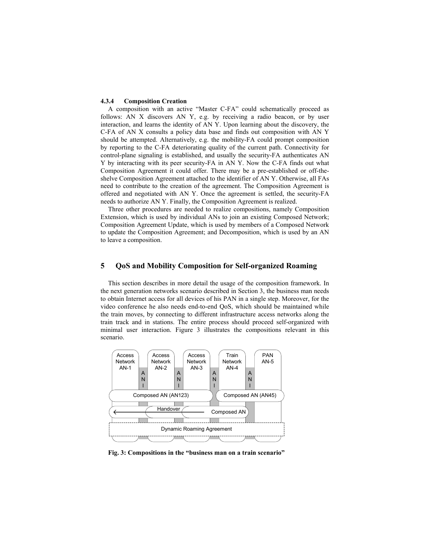#### **4.3.4 Composition Creation**

A composition with an active "Master C-FA" could schematically proceed as follows: AN X discovers AN Y, e.g. by receiving a radio beacon, or by user interaction, and learns the identity of AN Y. Upon learning about the discovery, the C-FA of AN X consults a policy data base and finds out composition with AN Y should be attempted. Alternatively, e.g. the mobility-FA could prompt composition by reporting to the C-FA deteriorating quality of the current path. Connectivity for control-plane signaling is established, and usually the security-FA authenticates AN Y by interacting with its peer security-FA in AN Y. Now the C-FA finds out what Composition Agreement it could offer. There may be a pre-established or off-theshelve Composition Agreement attached to the identifier of AN Y. Otherwise, all FAs need to contribute to the creation of the agreement. The Composition Agreement is offered and negotiated with AN Y. Once the agreement is settled, the security-FA needs to authorize AN Y. Finally, the Composition Agreement is realized.

Three other procedures are needed to realize compositions, namely Composition Extension, which is used by individual ANs to join an existing Composed Network; Composition Agreement Update, which is used by members of a Composed Network to update the Composition Agreement; and Decomposition, which is used by an AN to leave a composition.

### **5 QoS and Mobility Composition for Self-organized Roaming**

This section describes in more detail the usage of the composition framework. In the next generation networks scenario described in Section 3, the business man needs to obtain Internet access for all devices of his PAN in a single step. Moreover, for the video conference he also needs end-to-end QoS, which should be maintained while the train moves, by connecting to different infrastructure access networks along the train track and in stations. The entire process should proceed self-organized with minimal user interaction. Figure 3 illustrates the compositions relevant in this scenario.



**Fig. 3: Compositions in the "business man on a train scenario"**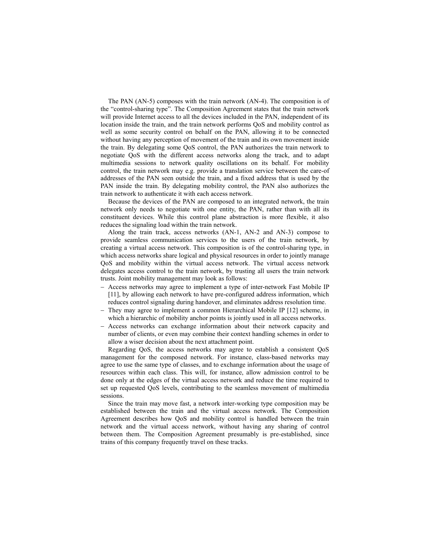The PAN (AN-5) composes with the train network (AN-4). The composition is of the "control-sharing type". The Composition Agreement states that the train network will provide Internet access to all the devices included in the PAN, independent of its location inside the train, and the train network performs QoS and mobility control as well as some security control on behalf on the PAN, allowing it to be connected without having any perception of movement of the train and its own movement inside the train. By delegating some QoS control, the PAN authorizes the train network to negotiate QoS with the different access networks along the track, and to adapt multimedia sessions to network quality oscillations on its behalf. For mobility control, the train network may e.g. provide a translation service between the care-of addresses of the PAN seen outside the train, and a fixed address that is used by the PAN inside the train. By delegating mobility control, the PAN also authorizes the train network to authenticate it with each access network.

Because the devices of the PAN are composed to an integrated network, the train network only needs to negotiate with one entity, the PAN, rather than with all its constituent devices. While this control plane abstraction is more flexible, it also reduces the signaling load within the train network.

Along the train track, access networks (AN-1, AN-2 and AN-3) compose to provide seamless communication services to the users of the train network, by creating a virtual access network. This composition is of the control-sharing type, in which access networks share logical and physical resources in order to jointly manage QoS and mobility within the virtual access network. The virtual access network delegates access control to the train network, by trusting all users the train network trusts. Joint mobility management may look as follows:

- − Access networks may agree to implement a type of inter-network Fast Mobile IP [11], by allowing each network to have pre-configured address information, which reduces control signaling during handover, and eliminates address resolution time.
- They may agree to implement a common Hierarchical Mobile IP [12] scheme, in which a hierarchic of mobility anchor points is jointly used in all access networks.
- − Access networks can exchange information about their network capacity and number of clients, or even may combine their context handling schemes in order to allow a wiser decision about the next attachment point.

Regarding QoS, the access networks may agree to establish a consistent QoS management for the composed network. For instance, class-based networks may agree to use the same type of classes, and to exchange information about the usage of resources within each class. This will, for instance, allow admission control to be done only at the edges of the virtual access network and reduce the time required to set up requested QoS levels, contributing to the seamless movement of multimedia sessions.

Since the train may move fast, a network inter-working type composition may be established between the train and the virtual access network. The Composition Agreement describes how QoS and mobility control is handled between the train network and the virtual access network, without having any sharing of control between them. The Composition Agreement presumably is pre-established, since trains of this company frequently travel on these tracks.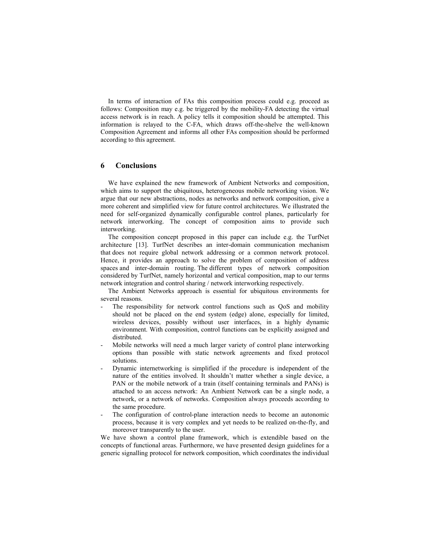In terms of interaction of FAs this composition process could e.g. proceed as follows: Composition may e.g. be triggered by the mobility-FA detecting the virtual access network is in reach. A policy tells it composition should be attempted. This information is relayed to the C-FA, which draws off-the-shelve the well-known Composition Agreement and informs all other FAs composition should be performed according to this agreement.

## **6 Conclusions**

We have explained the new framework of Ambient Networks and composition, which aims to support the ubiquitous, heterogeneous mobile networking vision. We argue that our new abstractions, nodes as networks and network composition, give a more coherent and simplified view for future control architectures. We illustrated the need for self-organized dynamically configurable control planes, particularly for network interworking. The concept of composition aims to provide such interworking.

The composition concept proposed in this paper can include e.g. the TurfNet architecture [13]. TurfNet describes an inter-domain communication mechanism that does not require global network addressing or a common network protocol. Hence, it provides an approach to solve the problem of composition of address spaces and inter-domain routing. The different types of network composition considered by TurfNet, namely horizontal and vertical composition, map to our terms network integration and control sharing / network interworking respectively.

The Ambient Networks approach is essential for ubiquitous environments for several reasons.

- The responsibility for network control functions such as OoS and mobility should not be placed on the end system (edge) alone, especially for limited, wireless devices, possibly without user interfaces, in a highly dynamic environment. With composition, control functions can be explicitly assigned and distributed.
- Mobile networks will need a much larger variety of control plane interworking options than possible with static network agreements and fixed protocol solutions.
- Dynamic internetworking is simplified if the procedure is independent of the nature of the entities involved. It shouldn't matter whether a single device, a PAN or the mobile network of a train (itself containing terminals and PANs) is attached to an access network: An Ambient Network can be a single node, a network, or a network of networks. Composition always proceeds according to the same procedure.
- The configuration of control-plane interaction needs to become an autonomic process, because it is very complex and yet needs to be realized on-the-fly, and moreover transparently to the user.

We have shown a control plane framework, which is extendible based on the concepts of functional areas. Furthermore, we have presented design guidelines for a generic signalling protocol for network composition, which coordinates the individual